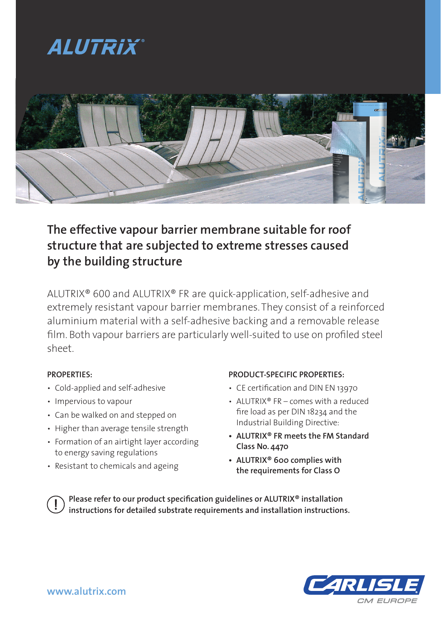## *ALUTRIX*



### **The effective vapour barrier membrane suitable for roof structure that are subjected to extreme stresses caused by the building structure**

ALUTRIX® 600 and ALUTRIX® FR are quick-application, self-adhesive and extremely resistant vapour barrier membranes. They consist of a reinforced aluminium material with a self-adhesive backing and a removable release film. Both vapour barriers are particularly well-suited to use on profiled steel sheet.

#### **PROPERTIES:**

- Cold-applied and self-adhesive
- Impervious to vapour
- Can be walked on and stepped on
- Higher than average tensile strength
- Formation of an airtight layer according to energy saving regulations
- Resistant to chemicals and ageing

#### **PRODUCT-SPECIFIC PROPERTIES:**

- CE certification and DIN EN 13970
- ALUTRIX<sup>®</sup> FR comes with a reduced fire load as per DIN 18234 and the Industrial Building Directive:
- **ALUTRIX® FR meets the FM Standard Class No. 4470**
- **ALUTRIX® 600 complies with the requirements for Class O**

**Please refer to our product specification guidelines or ALUTRIX® installation instructions for detailed substrate requirements and installation instructions.**